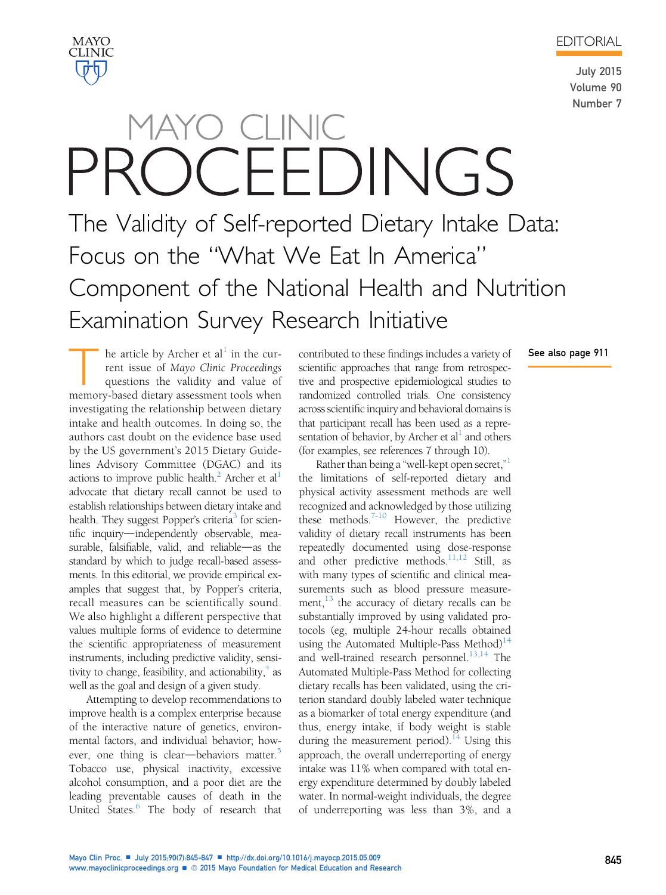EDITORIAL



See also page 911

## MAYO **CLINIC**

# MAYO CLINIC OCEEDINGS The Validity of Self-reported Dietary Intake Data:

Focus on the "What We Eat In America" Component of the National Health and Nutrition Examination Survey Research Initiative

The article by Archer et al<sup>[1](#page-2-0)</sup> in the current issue of Mayo Clinic Proceedings<br>questions the validity and value of<br>memory-based dietary assessment tools when rent issue of Mayo Clinic Proceedings questions the validity and value of memory-based dietary assessment tools when investigating the relationship between dietary intake and health outcomes. In doing so, the authors cast doubt on the evidence base used by the US government's 2015 Dietary Guidelines Advisory Committee (DGAC) and its actions to improve public health.<sup>[2](#page-2-0)</sup> Archer et al<sup>[1](#page-2-0)</sup> advocate that dietary recall cannot be used to establish relationships between dietary intake and health. They suggest Popper's criteria<sup>3</sup> for scientific inquiry—independently observable, measurable, falsifiable, valid, and reliable $\rightarrow$  as the standard by which to judge recall-based assessments. In this editorial, we provide empirical examples that suggest that, by Popper's criteria, recall measures can be scientifically sound. We also highlight a different perspective that values multiple forms of evidence to determine the scientific appropriateness of measurement instruments, including predictive validity, sensitivity to change, feasibility, and actionability, $4$  as well as the goal and design of a given study.

Attempting to develop recommendations to improve health is a complex enterprise because of the interactive nature of genetics, environmental factors, and individual behavior; however, one thing is clear—behaviors matter. $5$ Tobacco use, physical inactivity, excessive alcohol consumption, and a poor diet are the leading preventable causes of death in the United States.<sup>6</sup> The body of research that contributed to these findings includes a variety of scientific approaches that range from retrospective and prospective epidemiological studies to randomized controlled trials. One consistency across scientific inquiry and behavioral domains is that participant recall has been used as a representation of behavior, by Archer et  $al<sup>1</sup>$  and others (for examples, see references 7 through 10).

Rather than being a "well-kept open secret,"<sup>[1](#page-2-0)</sup> the limitations of self-reported dietary and physical activity assessment methods are well recognized and acknowledged by those utilizing these methods.<sup>7-10</sup> However, the predictive validity of dietary recall instruments has been repeatedly documented using dose-response and other predictive methods.<sup>11,12</sup> Still, as with many types of scientific and clinical measurements such as blood pressure measurement, $^{13}$  $^{13}$  $^{13}$  the accuracy of dietary recalls can be substantially improved by using validated protocols (eg, multiple 24-hour recalls obtained using the Automated Multiple-Pass Method) $14$ and well-trained research personnel. $^{13,14}$  $^{13,14}$  $^{13,14}$  The Automated Multiple-Pass Method for collecting dietary recalls has been validated, using the criterion standard doubly labeled water technique as a biomarker of total energy expenditure (and thus, energy intake, if body weight is stable during the measurement period).<sup>[14](#page-2-0)</sup> Using this approach, the overall underreporting of energy intake was 11% when compared with total energy expenditure determined by doubly labeled water. In normal-weight individuals, the degree of underreporting was less than 3%, and a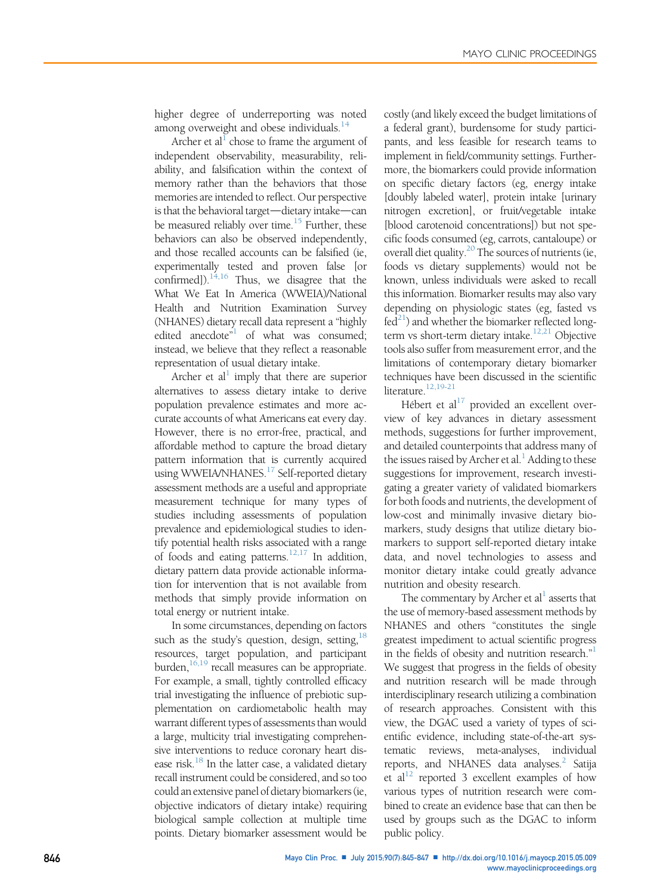higher degree of underreporting was noted among overweight and obese individuals.<sup>[14](#page-2-0)</sup>

Archer et al<sup> $\perp$ </sup> chose to frame the argument of independent observability, measurability, reliability, and falsification within the context of memory rather than the behaviors that those memories are intended to reflect. Our perspective is that the behavioral target—dietary intake—can be measured reliably over time.<sup>15</sup> Further, these behaviors can also be observed independently, and those recalled accounts can be falsified (ie, experimentally tested and proven false [or confirmed]).<sup>14,16</sup> Thus, we disagree that the What We Eat In America (WWEIA)/National Health and Nutrition Examination Survey (NHANES) dietary recall data represent a "highly edited anecdote<sup>"[1](#page-2-0)</sup> of what was consumed; instead, we believe that they reflect a reasonable representation of usual dietary intake.

Archer et al<sup>1</sup> imply that there are superior alternatives to assess dietary intake to derive population prevalence estimates and more accurate accounts of what Americans eat every day. However, there is no error-free, practical, and affordable method to capture the broad dietary pattern information that is currently acquired using WWEIA/NHANES.<sup>[17](#page-2-0)</sup> Self-reported dietary assessment methods are a useful and appropriate measurement technique for many types of studies including assessments of population prevalence and epidemiological studies to identify potential health risks associated with a range of foods and eating patterns.<sup>[12,17](#page-2-0)</sup> In addition, dietary pattern data provide actionable information for intervention that is not available from methods that simply provide information on total energy or nutrient intake.

In some circumstances, depending on factors such as the study's question, design, setting,<sup>18</sup> resources, target population, and participant burden, $16,19$  recall measures can be appropriate. For example, a small, tightly controlled efficacy trial investigating the influence of prebiotic supplementation on cardiometabolic health may warrant different types of assessments than would a large, multicity trial investigating comprehensive interventions to reduce coronary heart disease risk. $^{18}$  In the latter case, a validated dietary recall instrument could be considered, and so too could an extensive panel of dietary biomarkers (ie, objective indicators of dietary intake) requiring biological sample collection at multiple time points. Dietary biomarker assessment would be costly (and likely exceed the budget limitations of a federal grant), burdensome for study participants, and less feasible for research teams to implement in field/community settings. Furthermore, the biomarkers could provide information on specific dietary factors (eg, energy intake [doubly labeled water], protein intake [urinary nitrogen excretion], or fruit/vegetable intake [blood carotenoid concentrations]) but not specific foods consumed (eg, carrots, cantaloupe) or overall diet quality.<sup>[20](#page-2-0)</sup> The sources of nutrients (ie, foods vs dietary supplements) would not be known, unless individuals were asked to recall this information. Biomarker results may also vary depending on physiologic states (eg, fasted vs  $fed<sup>21</sup>$ ) and whether the biomarker reflected longterm vs short-term dietary intake.<sup>12,21</sup> Objective tools also suffer from measurement error, and the limitations of contemporary dietary biomarker techniques have been discussed in the scientific literature.<sup>12,19-21</sup>

Hébert et al $^{17}$  provided an excellent overview of key advances in dietary assessment methods, suggestions for further improvement, and detailed counterpoints that address many of the issues raised by Archer et al. $<sup>1</sup>$  Adding to these</sup> suggestions for improvement, research investigating a greater variety of validated biomarkers for both foods and nutrients, the development of low-cost and minimally invasive dietary biomarkers, study designs that utilize dietary biomarkers to support self-reported dietary intake data, and novel technologies to assess and monitor dietary intake could greatly advance nutrition and obesity research.

The commentary by Archer et  $al<sup>1</sup>$  asserts that the use of memory-based assessment methods by NHANES and others "constitutes the single greatest impediment to actual scientific progress in the fields of obesity and nutrition research."<sup>[1](#page-2-0)</sup> We suggest that progress in the fields of obesity and nutrition research will be made through interdisciplinary research utilizing a combination of research approaches. Consistent with this view, the DGAC used a variety of types of scientific evidence, including state-of-the-art systematic reviews, meta-analyses, individual reports, and NHANES data analyses.<sup>2</sup> Satija et al<sup>12</sup> reported 3 excellent examples of how various types of nutrition research were combined to create an evidence base that can then be used by groups such as the DGAC to inform public policy.